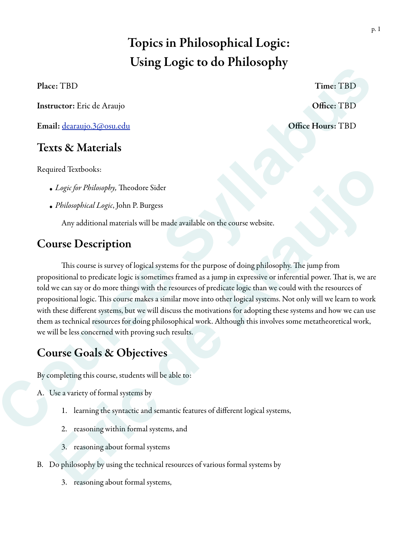# Topics in Philosophical Logic: Using Logic to do Philosophy

Instructor: Eric de Araujo **Office: TBD** 

Email: dearaujo.3@osu.edu Office Hours: TBD

### Texts & Materials

Required Textbooks:

- Logic for Philosophy, Theodore Sider
- *• Philosophical Logic*, John P. Burgess

Any additional materials will be made available on the course website.

### Course Description

This course is survey of logical systems for the purpose of doing philosophy. The jump from propositional to predicate logic is sometimes framed as a jump in expressive or inferential power. That is, we are told we can say or do more things with the resources of predicate logic than we could with the resources of propositional logic. This course makes a similar move into other logical systems. Not only will we learn to work with these different systems, but we will discuss the motivations for adopting these systems and how we can use them as technical resources for doing philosophical work. Although this involves some metatheoretical work, we will be less concerned with proving such results. **Course Course Syllapure Course Course Syllapure Syllapure Syllapure Syllapure Syllapure Syllapure Syllapure Syllapure Syllapure Syllapure Syllapure Syllapure Syllapure Syllapure Syllapure Syllapure Syllapure Syllapure Syl** uired Textbooks:<br>
Logic for Philosophy, Theodore Sider<br>
Vibliauphiral Logic, John P. Burgess<br>
Any additional materials will be made available on the course website.<br>
MISC CONSCRIPTION<br>
This course is survey of logical syst

# Course Goals & Objectives

By completing this course, students will be able to:

- A. Use a variety of formal systems by
	- 1. learning the syntactic and semantic features of different logical systems,
	- 2. reasoning within formal systems, and
	- 3. reasoning about formal systems
- B. Do philosophy by using the technical resources of various formal systems by
	- 3. reasoning about formal systems,

Place: TBD Time: TBD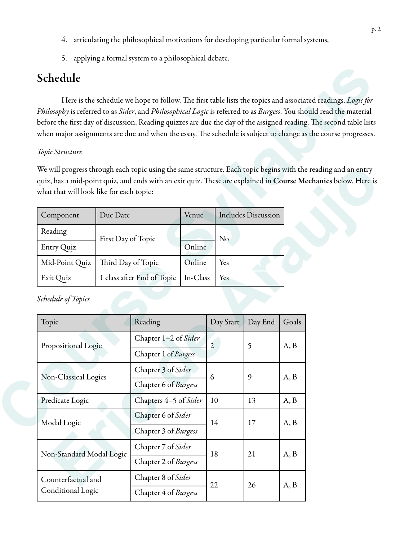- 4. articulating the philosophical motivations for developing particular formal systems,
- 5. applying a formal system to a philosophical debate.

## Schedule

#### *Topic Structure*

| Component      | Due Date                   | Venue    | <b>Includes Discussion</b> |
|----------------|----------------------------|----------|----------------------------|
| Reading        | First Day of Topic         |          | No                         |
| Entry Quiz     |                            | Online   |                            |
| Mid-Point Quiz | Third Day of Topic         | Online   | Yes                        |
| Exit Quiz      | 1 class after End of Topic | In-Class | Yes                        |

| Philosophy is referred to as Sider, and Philosophical Logic is referred to as Burgess. You should read the material<br>before the first day of discussion. Reading quizzes are due the day of the assigned reading. The second table lists<br>when major assignments are due and when the essay. The schedule is subject to change as the course progresses. |                            | Here is the schedule we hope to follow. The first table lists the topics and associated readings. Logic for |                             |                |                            |       |  |
|--------------------------------------------------------------------------------------------------------------------------------------------------------------------------------------------------------------------------------------------------------------------------------------------------------------------------------------------------------------|----------------------------|-------------------------------------------------------------------------------------------------------------|-----------------------------|----------------|----------------------------|-------|--|
| Topic Structure                                                                                                                                                                                                                                                                                                                                              |                            |                                                                                                             |                             |                |                            |       |  |
| We will progress through each topic using the same structure. Each topic begins with the reading and an entry<br>quiz, has a mid-point quiz, and ends with an exit quiz. These are explained in Course Mechanics below. Here is<br>what that will look like for each topic:                                                                                  |                            |                                                                                                             |                             |                |                            |       |  |
| Component                                                                                                                                                                                                                                                                                                                                                    | Due Date                   |                                                                                                             | Venue                       |                | <b>Includes Discussion</b> |       |  |
| Reading                                                                                                                                                                                                                                                                                                                                                      |                            |                                                                                                             |                             |                |                            |       |  |
| Entry Quiz                                                                                                                                                                                                                                                                                                                                                   | First Day of Topic         |                                                                                                             | Online                      | N <sub>o</sub> |                            |       |  |
| Mid-Point Quiz                                                                                                                                                                                                                                                                                                                                               | Third Day of Topic         |                                                                                                             | Online                      | Yes            |                            |       |  |
| Exit Quiz                                                                                                                                                                                                                                                                                                                                                    | 1 class after End of Topic |                                                                                                             | In-Class                    | Yes            |                            |       |  |
| <b>Schedule of Topics</b><br>Topic                                                                                                                                                                                                                                                                                                                           |                            | Reading                                                                                                     |                             | Day Start      | Day End                    | Goals |  |
|                                                                                                                                                                                                                                                                                                                                                              |                            | Chapter 1-2 of Sider                                                                                        |                             |                | 5                          | A, B  |  |
| Propositional Logic                                                                                                                                                                                                                                                                                                                                          |                            | Chapter 1 of Burgess                                                                                        |                             | 2              |                            |       |  |
|                                                                                                                                                                                                                                                                                                                                                              |                            | Chapter 3 of Sider                                                                                          |                             |                | 9                          |       |  |
| Non-Classical Logics                                                                                                                                                                                                                                                                                                                                         |                            | Chapter 6 of Burgess                                                                                        |                             | 6              |                            | A, B  |  |
| Predicate Logic                                                                                                                                                                                                                                                                                                                                              |                            |                                                                                                             | Chapters 4-5 of Sider<br>10 |                | 13                         | A, B  |  |
|                                                                                                                                                                                                                                                                                                                                                              |                            | Chapter 6 of Sider                                                                                          |                             |                |                            |       |  |
| Modal Logic                                                                                                                                                                                                                                                                                                                                                  |                            | Chapter 3 of Burgess                                                                                        |                             | 14             | 17                         | A, B  |  |
|                                                                                                                                                                                                                                                                                                                                                              |                            | Chapter 7 of Sider                                                                                          |                             |                |                            |       |  |
|                                                                                                                                                                                                                                                                                                                                                              | Non-Standard Modal Logic   |                                                                                                             |                             | 18             | 21                         | A, B  |  |
|                                                                                                                                                                                                                                                                                                                                                              |                            | Chapter 2 of Burgess                                                                                        |                             |                |                            |       |  |
| Counterfactual and                                                                                                                                                                                                                                                                                                                                           |                            | Chapter 8 of Sider                                                                                          |                             | 22             | 26                         | A, B  |  |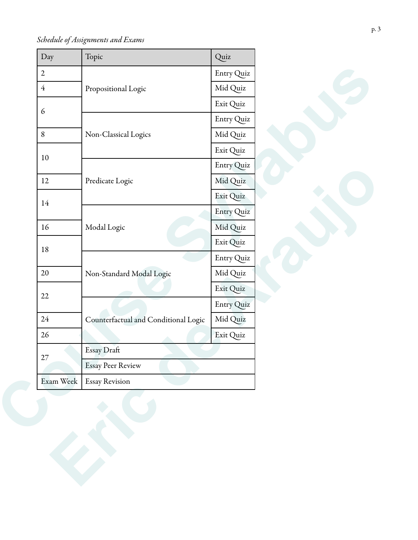*Schedule of Assignments and Exams*

| Day            | Topic                                | Quiz       |
|----------------|--------------------------------------|------------|
| $\overline{2}$ |                                      | Entry Quiz |
| $\overline{4}$ | Propositional Logic                  | Mid Quiz   |
| $\epsilon$     |                                      | Exit Quiz  |
|                |                                      | Entry Quiz |
| 8              | Non-Classical Logics                 | Mid Quiz   |
| $10\,$         |                                      | Exit Quiz  |
|                |                                      | Entry Quiz |
| 12             | Predicate Logic                      | Mid Quiz   |
| 14             |                                      | Exit Quiz  |
|                |                                      | Entry Quiz |
| 16             | Modal Logic                          | Mid Quiz   |
| $18\,$         |                                      | Exit Quiz  |
|                |                                      | Entry Quiz |
| $20\,$         | Non-Standard Modal Logic             | Mid Quiz   |
| $22\,$         |                                      | Exit Quiz  |
|                |                                      | Entry Quiz |
| 24             | Counterfactual and Conditional Logic | Mid Quiz   |
| $26\,$         |                                      | Exit Quiz  |
| $27\,$         | Essay Draft                          |            |
|                | <b>Essay Peer Review</b>             |            |
| Exam Week      | <b>Essay Revision</b>                |            |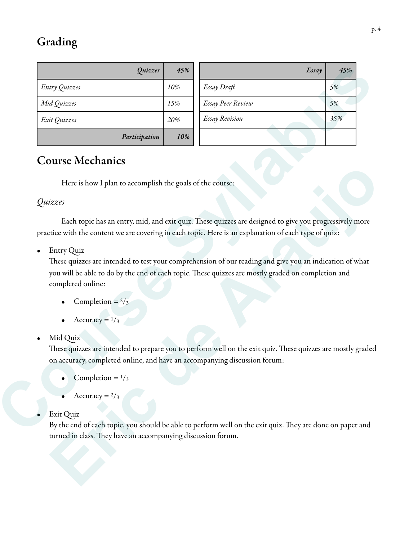# Grading

| Quizzes                                                                                                                                                                                                                                                      | 45% |                          | Essay | 45% |
|--------------------------------------------------------------------------------------------------------------------------------------------------------------------------------------------------------------------------------------------------------------|-----|--------------------------|-------|-----|
| Entry Quizzes                                                                                                                                                                                                                                                | 10% | Essay Draft              |       | 5%  |
| Mid Quizzes                                                                                                                                                                                                                                                  | 15% | <b>Essay Peer Review</b> |       | 5%  |
| Exit Quizzes                                                                                                                                                                                                                                                 | 20% | <b>Essay Revision</b>    |       | 35% |
| Participation                                                                                                                                                                                                                                                | 10% |                          |       |     |
| <b>Course Mechanics</b>                                                                                                                                                                                                                                      |     |                          |       |     |
| Here is how I plan to accomplish the goals of the course:                                                                                                                                                                                                    |     |                          |       |     |
|                                                                                                                                                                                                                                                              |     |                          |       |     |
| Quizzes                                                                                                                                                                                                                                                      |     |                          |       |     |
| <b>Entry Quiz</b><br>٠<br>These quizzes are intended to test your comprehension of our reading and give you an indication of what<br>you will be able to do by the end of each topic. These quizzes are mostly graded on completion and<br>completed online: |     |                          |       |     |
| Completion = $\frac{2}{3}$                                                                                                                                                                                                                                   |     |                          |       |     |
| Accuracy = $1/3$                                                                                                                                                                                                                                             |     |                          |       |     |
| Mid Quiz<br>$\bullet$                                                                                                                                                                                                                                        |     |                          |       |     |
| These quizzes are intended to prepare you to perform well on the exit quiz. These quizzes are mostly graded<br>on accuracy, completed online, and have an accompanying discussion forum:                                                                     |     |                          |       |     |
| Completion = $1/3$                                                                                                                                                                                                                                           |     |                          |       |     |
| Accuracy = $\frac{2}{3}$                                                                                                                                                                                                                                     |     |                          |       |     |
| Exit Quiz<br>By the end of each topic, you should be able to perform well on the exit quiz. They are done on paper and                                                                                                                                       |     |                          |       |     |

### Course Mechanics

#### *Quizzes*

These quizzes are intended to test your comprehension of our reading and give you an indication of what you will be able to do by the end of each topic. These quizzes are mostly graded on completion and completed online: Here is how I plan to accomplish the goals of the course:<br>
izzes<br>
Each topic has an entry, mid, and exit quiz. These quizzes are designed to give you progressively more<br>
tice with the content we are covering in each topic

- Completion  $= 2/3$
- Accuracy  $=$   $\frac{1}{3}$

#### • Mid Quiz

- Completion  $=$   $\frac{1}{3}$
- Accuracy  $= 2/3$

By the end of each topic, you should be able to perform well on the exit quiz. They are done on paper and turned in class. They have an accompanying discussion forum.